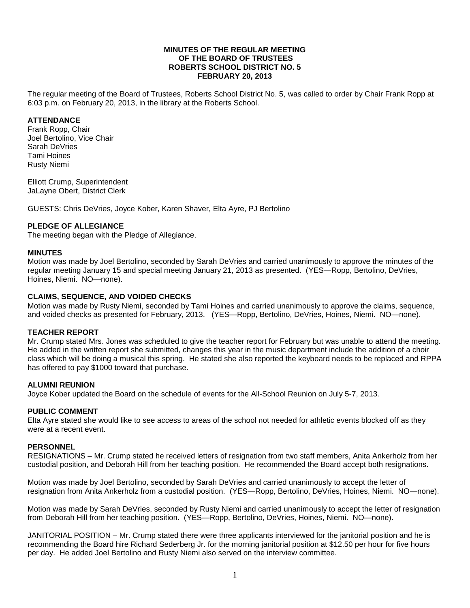#### **MINUTES OF THE REGULAR MEETING OF THE BOARD OF TRUSTEES ROBERTS SCHOOL DISTRICT NO. 5 FEBRUARY 20, 2013**

The regular meeting of the Board of Trustees, Roberts School District No. 5, was called to order by Chair Frank Ropp at 6:03 p.m. on February 20, 2013, in the library at the Roberts School.

# **ATTENDANCE**

Frank Ropp, Chair Joel Bertolino, Vice Chair Sarah DeVries Tami Hoines Rusty Niemi

Elliott Crump, Superintendent JaLayne Obert, District Clerk

GUESTS: Chris DeVries, Joyce Kober, Karen Shaver, Elta Ayre, PJ Bertolino

# **PLEDGE OF ALLEGIANCE**

The meeting began with the Pledge of Allegiance.

# **MINUTES**

Motion was made by Joel Bertolino, seconded by Sarah DeVries and carried unanimously to approve the minutes of the regular meeting January 15 and special meeting January 21, 2013 as presented. (YES—Ropp, Bertolino, DeVries, Hoines, Niemi. NO—none).

# **CLAIMS, SEQUENCE, AND VOIDED CHECKS**

Motion was made by Rusty Niemi, seconded by Tami Hoines and carried unanimously to approve the claims, sequence, and voided checks as presented for February, 2013. (YES—Ropp, Bertolino, DeVries, Hoines, Niemi. NO—none).

# **TEACHER REPORT**

Mr. Crump stated Mrs. Jones was scheduled to give the teacher report for February but was unable to attend the meeting. He added in the written report she submitted, changes this year in the music department include the addition of a choir class which will be doing a musical this spring. He stated she also reported the keyboard needs to be replaced and RPPA has offered to pay \$1000 toward that purchase.

# **ALUMNI REUNION**

Joyce Kober updated the Board on the schedule of events for the All-School Reunion on July 5-7, 2013.

# **PUBLIC COMMENT**

Elta Ayre stated she would like to see access to areas of the school not needed for athletic events blocked off as they were at a recent event.

# **PERSONNEL**

RESIGNATIONS – Mr. Crump stated he received letters of resignation from two staff members, Anita Ankerholz from her custodial position, and Deborah Hill from her teaching position. He recommended the Board accept both resignations.

Motion was made by Joel Bertolino, seconded by Sarah DeVries and carried unanimously to accept the letter of resignation from Anita Ankerholz from a custodial position. (YES—Ropp, Bertolino, DeVries, Hoines, Niemi. NO—none).

Motion was made by Sarah DeVries, seconded by Rusty Niemi and carried unanimously to accept the letter of resignation from Deborah Hill from her teaching position. (YES—Ropp, Bertolino, DeVries, Hoines, Niemi. NO—none).

JANITORIAL POSITION – Mr. Crump stated there were three applicants interviewed for the janitorial position and he is recommending the Board hire Richard Sederberg Jr. for the morning janitorial position at \$12.50 per hour for five hours per day. He added Joel Bertolino and Rusty Niemi also served on the interview committee.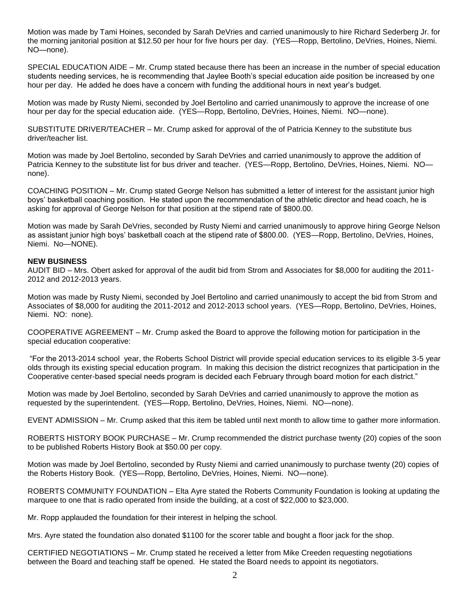Motion was made by Tami Hoines, seconded by Sarah DeVries and carried unanimously to hire Richard Sederberg Jr. for the morning janitorial position at \$12.50 per hour for five hours per day. (YES—Ropp, Bertolino, DeVries, Hoines, Niemi. NO—none).

SPECIAL EDUCATION AIDE – Mr. Crump stated because there has been an increase in the number of special education students needing services, he is recommending that Jaylee Booth's special education aide position be increased by one hour per day. He added he does have a concern with funding the additional hours in next year's budget.

Motion was made by Rusty Niemi, seconded by Joel Bertolino and carried unanimously to approve the increase of one hour per day for the special education aide. (YES—Ropp, Bertolino, DeVries, Hoines, Niemi. NO—none).

SUBSTITUTE DRIVER/TEACHER – Mr. Crump asked for approval of the of Patricia Kenney to the substitute bus driver/teacher list.

Motion was made by Joel Bertolino, seconded by Sarah DeVries and carried unanimously to approve the addition of Patricia Kenney to the substitute list for bus driver and teacher. (YES—Ropp, Bertolino, DeVries, Hoines, Niemi. NO none).

COACHING POSITION – Mr. Crump stated George Nelson has submitted a letter of interest for the assistant junior high boys' basketball coaching position. He stated upon the recommendation of the athletic director and head coach, he is asking for approval of George Nelson for that position at the stipend rate of \$800.00.

Motion was made by Sarah DeVries, seconded by Rusty Niemi and carried unanimously to approve hiring George Nelson as assistant junior high boys' basketball coach at the stipend rate of \$800.00. (YES—Ropp, Bertolino, DeVries, Hoines, Niemi. No—NONE).

#### **NEW BUSINESS**

AUDIT BID – Mrs. Obert asked for approval of the audit bid from Strom and Associates for \$8,000 for auditing the 2011- 2012 and 2012-2013 years.

Motion was made by Rusty Niemi, seconded by Joel Bertolino and carried unanimously to accept the bid from Strom and Associates of \$8,000 for auditing the 2011-2012 and 2012-2013 school years. (YES—Ropp, Bertolino, DeVries, Hoines, Niemi. NO: none).

COOPERATIVE AGREEMENT – Mr. Crump asked the Board to approve the following motion for participation in the special education cooperative:

"For the 2013-2014 school year, the Roberts School District will provide special education services to its eligible 3-5 year olds through its existing special education program. In making this decision the district recognizes that participation in the Cooperative center-based special needs program is decided each February through board motion for each district."

Motion was made by Joel Bertolino, seconded by Sarah DeVries and carried unanimously to approve the motion as requested by the superintendent. (YES—Ropp, Bertolino, DeVries, Hoines, Niemi. NO—none).

EVENT ADMISSION – Mr. Crump asked that this item be tabled until next month to allow time to gather more information.

ROBERTS HISTORY BOOK PURCHASE – Mr. Crump recommended the district purchase twenty (20) copies of the soon to be published Roberts History Book at \$50.00 per copy.

Motion was made by Joel Bertolino, seconded by Rusty Niemi and carried unanimously to purchase twenty (20) copies of the Roberts History Book. (YES—Ropp, Bertolino, DeVries, Hoines, Niemi. NO—none).

ROBERTS COMMUNITY FOUNDATION – Elta Ayre stated the Roberts Community Foundation is looking at updating the marquee to one that is radio operated from inside the building, at a cost of \$22,000 to \$23,000.

Mr. Ropp applauded the foundation for their interest in helping the school.

Mrs. Ayre stated the foundation also donated \$1100 for the scorer table and bought a floor jack for the shop.

CERTIFIED NEGOTIATIONS – Mr. Crump stated he received a letter from Mike Creeden requesting negotiations between the Board and teaching staff be opened. He stated the Board needs to appoint its negotiators.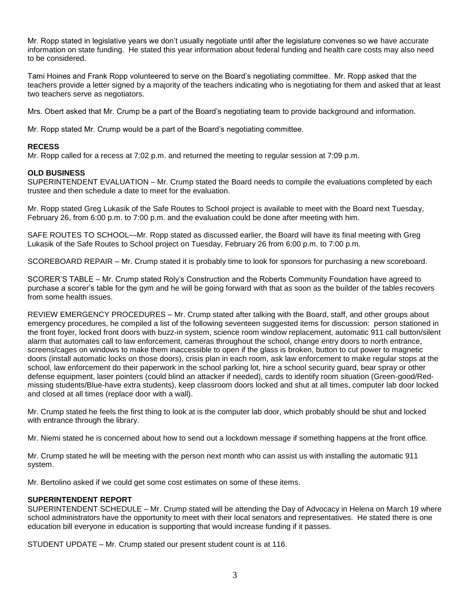Mr. Ropp stated in legislative years we don't usually negotiate until after the legislature convenes so we have accurate information on state funding. He stated this year information about federal funding and health care costs may also need to be considered.

Tami Hoines and Frank Ropp volunteered to serve on the Board's negotiating committee. Mr. Ropp asked that the teachers provide a letter signed by a majority of the teachers indicating who is negotiating for them and asked that at least two teachers serve as negotiators.

Mrs. Obert asked that Mr. Crump be a part of the Board's negotiating team to provide background and information.

Mr. Ropp stated Mr. Crump would be a part of the Board's negotiating committee.

# **RECESS**

Mr. Ropp called for a recess at 7:02 p.m. and returned the meeting to regular session at 7:09 p.m.

# **OLD BUSINESS**

SUPERINTENDENT EVALUATION – Mr. Crump stated the Board needs to compile the evaluations completed by each trustee and then schedule a date to meet for the evaluation.

Mr. Ropp stated Greg Lukasik of the Safe Routes to School project is available to meet with the Board next Tuesday, February 26, from 6:00 p.m. to 7:00 p.m. and the evaluation could be done after meeting with him.

SAFE ROUTES TO SCHOOL—Mr. Ropp stated as discussed earlier, the Board will have its final meeting with Greg Lukasik of the Safe Routes to School project on Tuesday, February 26 from 6:00 p.m. to 7:00 p.m.

SCOREBOARD REPAIR – Mr. Crump stated it is probably time to look for sponsors for purchasing a new scoreboard.

SCORER'S TABLE – Mr. Crump stated Roly's Construction and the Roberts Community Foundation have agreed to purchase a scorer's table for the gym and he will be going forward with that as soon as the builder of the tables recovers from some health issues.

REVIEW EMERGENCY PROCEDURES – Mr. Crump stated after talking with the Board, staff, and other groups about emergency procedures, he compiled a list of the following seventeen suggested items for discussion: person stationed in the front foyer, locked front doors with buzz-in system, science room window replacement, automatic 911 call button/silent alarm that automates call to law enforcement, cameras throughout the school, change entry doors to north entrance, screens/cages on windows to make them inaccessible to open if the glass is broken, button to cut power to magnetic doors (install automatic locks on those doors), crisis plan in each room, ask law enforcement to make regular stops at the school, law enforcement do their paperwork in the school parking lot, hire a school security guard, bear spray or other defense equipment, laser pointers (could blind an attacker if needed), cards to identify room situation (Green-good/Redmissing students/Blue-have extra students), keep classroom doors locked and shut at all times, computer lab door locked and closed at all times (replace door with a wall).

Mr. Crump stated he feels the first thing to look at is the computer lab door, which probably should be shut and locked with entrance through the library.

Mr. Niemi stated he is concerned about how to send out a lockdown message if something happens at the front office.

Mr. Crump stated he will be meeting with the person next month who can assist us with installing the automatic 911 system.

Mr. Bertolino asked if we could get some cost estimates on some of these items.

# **SUPERINTENDENT REPORT**

SUPERINTENDENT SCHEDULE – Mr. Crump stated will be attending the Day of Advocacy in Helena on March 19 where school administrators have the opportunity to meet with their local senators and representatives. He stated there is one education bill everyone in education is supporting that would increase funding if it passes.

STUDENT UPDATE – Mr. Crump stated our present student count is at 116.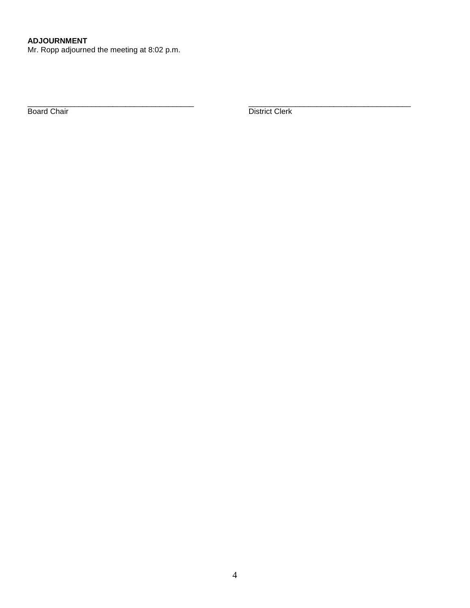Mr. Ropp adjourned the meeting at 8:02 p.m.

\_\_\_\_\_\_\_\_\_\_\_\_\_\_\_\_\_\_\_\_\_\_\_\_\_\_\_\_\_\_\_\_\_\_\_\_\_\_\_ \_\_\_\_\_\_\_\_\_\_\_\_\_\_\_\_\_\_\_\_\_\_\_\_\_\_\_\_\_\_\_\_\_\_\_\_\_\_ Board Chair **District Clerk** District Clerk